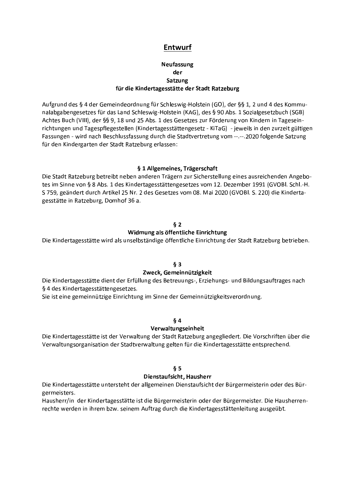# **Entwurf**

## **Neufassung** der Satzung für die Kindertagesstätte der Stadt Ratzeburg

Aufgrund des § 4 der Gemeindeordnung für Schleswig-Holstein (GO), der §§ 1, 2 und 4 des Kommunalabgabengesetzes für das Land Schleswig-Holstein (KAG), des § 90 Abs. 1 Sozialgesetzbuch (SGB) Achtes Buch (VIII), der §§ 9, 18 und 25 Abs. 1 des Gesetzes zur Förderung von Kindern in Tageseinrichtungen und Tagespflegestellen (Kindertagesstättengesetz - KiTaG) - jeweils in den zurzeit gültigen Fassungen - wird nach Beschlussfassung durch die Stadtvertretung vom --.--.2020 folgende Satzung für den Kindergarten der Stadt Ratzeburg erlassen:

#### § 1 Allgemeines, Trägerschaft

Die Stadt Ratzeburg betreibt neben anderen Trägern zur Sicherstellung eines ausreichenden Angebotes im Sinne von § 8 Abs. 1 des Kindertagesstättengesetzes vom 12. Dezember 1991 (GVOBI. Schl.-H. S 759, geändert durch Artikel 25 Nr. 2 des Gesetzes vom 08. Mai 2020 (GVOBl. S. 220) die Kindertagesstätte in Ratzeburg, Domhof 36 a.

#### $\delta$  2

#### Widmung als öffentliche Einrichtung

Die Kindertagesstätte wird als unselbständige öffentliche Einrichtung der Stadt Ratzeburg betrieben.

## $§$ 3

#### Zweck. Gemeinnützigkeit

Die Kindertagesstätte dient der Erfüllung des Betreuungs-, Erziehungs- und Bildungsauftrages nach § 4 des Kindertagesstättengesetzes.

Sie ist eine gemeinnützige Einrichtung im Sinne der Gemeinnützigkeitsverordnung.

#### $64$

#### Verwaltungseinheit

Die Kindertagesstätte ist der Verwaltung der Stadt Ratzeburg angegliedert. Die Vorschriften über die Verwaltungsorganisation der Stadtverwaltung gelten für die Kindertagesstätte entsprechend.

#### $§ 5$

#### Dienstaufsicht. Hausherr

Die Kindertagesstätte untersteht der allgemeinen Dienstaufsicht der Bürgermeisterin oder des Bürgermeisters.

Hausherr/in der Kindertagesstätte ist die Bürgermeisterin oder der Bürgermeister. Die Hausherrenrechte werden in ihrem bzw. seinem Auftrag durch die Kindertagesstättenleitung ausgeübt.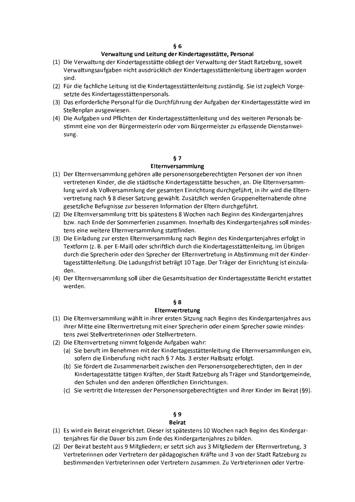## Verwaltung und Leitung der Kindertagesstätte, Personal

- (1) Die Verwaltung der Kindertagesstätte obliegt der Verwaltung der Stadt Ratzeburg, soweit Verwaltungsaufgaben nicht ausdrücklich der Kindertagesstättenleitung übertragen worden sind.
- (2) Für die fachliche Leitung ist die Kindertagesstättenleitung zuständig. Sie ist zugleich Vorgesetzte des Kindertagesstättenpersonals.
- (3) Das erforderliche Personal für die Durchführung der Aufgaben der Kindertagesstätte wird im Stellenplan ausgewiesen.
- (4) Die Aufgaben und Pflichten der Kindertagesstättenleitung und des weiteren Personals bestimmt eine von der Bürgermeisterin oder vom Bürgermeister zu erlassende Dienstanweisung.

#### $§7$

#### Elternversammlung

- (1) Der Elternversammlung gehören alle personensorgeberechtigten Personen der von ihnen vertretenen Kinder, die die städtische Kindertagesstätte besuchen, an. Die Elternversammlung wird als Vollversammlung der gesamten Einrichtung durchgeführt, in ihr wird die Elternvertretung nach § 8 dieser Satzung gewählt. Zusätzlich werden Gruppenelternabende ohne gesetzliche Befugnisse zur besseren Information der Eltern durchgeführt.
- (2) Die Elternversammlung tritt bis spätestens 8 Wochen nach Beginn des Kindergartenjahres bzw. nach Ende der Sommerferien zusammen. Innerhalb des Kindergartenjahres soll mindestens eine weitere Elternversammlung stattfinden.
- (3) Die Einladung zur ersten Elternversammlung nach Beginn des Kindergartenjahres erfolgt in Textform (z. B. per E-Mail) oder schriftlich durch die Kindertagesstättenleitung, im Übrigen durch die Sprecherin oder den Sprecher der Elternvertretung in Abstimmung mit der Kindertagesstättenleitung. Die Ladungsfrist beträgt 10 Tage. Der Träger der Einrichtung ist einzuladen.
- (4) Der Elternversammlung soll über die Gesamtsituation der Kindertagesstätte Bericht erstattet werden.

#### $§ 8$

#### Elternyertretung

- (1) Die Elternversammlung wählt in ihrer ersten Sitzung nach Beginn des Kindergartenjahres aus ihrer Mitte eine Elternvertretung mit einer Sprecherin oder einem Sprecher sowie mindestens zwei Stellvertreterinnen oder Stellvertretern.
- (2) Die Elternvertretung nimmt folgende Aufgaben wahr:
	- (a) Sie beruft im Benehmen mit der Kindertagesstättenleitung die Elternversammlungen ein, sofern die Einberufung nicht nach § 7 Abs. 3 erster Halbsatz erfolgt.
	- (b) Sie fördert die Zusammenarbeit zwischen den Personensorgeberechtigten, den in der Kindertagesstätte tätigen Kräften, der Stadt Ratzeburg als Träger und Standortgemeinde, den Schulen und den anderen öffentlichen Einrichtungen.
	- (c) Sie vertritt die Interessen der Personensorgeberechtigten und ihrer Kinder im Beirat (§9).

# $§ 9$

#### **Beirat**

- (1) Es wird ein Beirat eingerichtet. Dieser ist spätestens 10 Wochen nach Beginn des Kindergartenjahres für die Dauer bis zum Ende des Kindergartenjahres zu bilden.
- (2) Der Beirat besteht aus 9 Mitgliedern; er setzt sich aus 3 Mitgliedern der Elternvertretung, 3 Vertreterinnen oder Vertretern der pädagogischen Kräfte und 3 von der Stadt Ratzeburg zu bestimmenden Vertreterinnen oder Vertretern zusammen. Zu Vertreterinnen oder Vertre-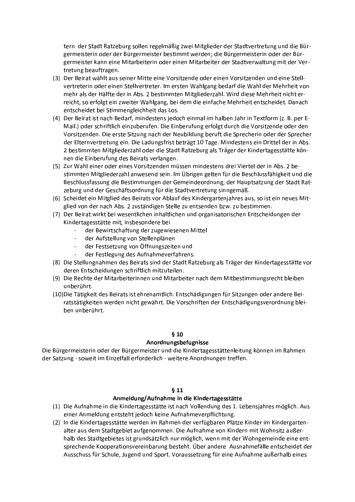tern der Stadt Ratzeburg sollen regelmäßig zwei Mitglieder der Stadtvertretung und die Bürgermeisterin oder der Bürgermeister bestimmt werden; die Bürgermeisterin oder der Bürgermeister kann eine Mitarbeiterin oder einen Mitarbeiter der Stadtverwaltung mit der Vertretung beauftragen.

- (3) Der Beirat wählt aus seiner Mitte eine Vorsitzende oder einen Vorsitzenden und eine Stellvertreterin oder einen Stellvertreter. Im ersten Wahlgang bedarf die Wahl der Mehrheit von mehr als der Hälfte der in Abs. 2 bestimmten Mitgliederzahl. Wird diese Mehrheit nicht erreicht, so erfolgt ein zweiter Wahlgang, bei dem die einfache Mehrheit entscheidet. Danach entscheidet bei Stimmengleichheit das Los.
- (4) Der Beirat ist nach Bedarf, mindestens jedoch einmal im halben Jahr in Textform (z. B. per E-Mail.) oder schriftlich einzuberufen. Die Einberufung erfolgt durch die Vorsitzende oder den Vorsitzenden. Die erste Sitzung nach der Neubildung beruft die Sprecherin oder der Sprecher der Elternvertretung ein. Die Ladungsfrist beträgt 10 Tage. Mindestens ein Drittel der in Abs. 2 bestimmten Mitgliederzahl oder die Stadt Ratzeburg als Träger der Kindertagesstätte können die Einberufung des Beirats verlangen.
- (5) Zur Wahl einer oder eines Vorsitzenden müssen mindestens drei Viertel der in Abs. 2 bestimmten Mitgliederzahl anwesend sein. Im Übrigen gelten für die Beschlussfähigkeit und die Beschlussfassung die Bestimmungen der Gemeindeordnung, der Hauptsatzung der Stadt Ratzeburg und der Geschäftsordnung für die Stadtvertretung sinngemäß.
- (6) Scheidet ein Mitglied des Beirats vor Ablauf des Kindergartenjahres aus, so ist ein neues Mitglied von der nach Abs. 2 zuständigen Stelle zu entsenden bzw. zu bestimmen.
- (7) Der Beirat wirkt bei wesentlichen inhaltlichen und organisatorischen Entscheidungen der Kindertagesstätte mit, insbesondere bei
	- der Bewirtschaftung der zugewiesenen Mittel
	- der Aufstellung von Stellenplänen  $\omega_{\rm c}$
	- der Festsetzung von Öffnungszeiten und
	- der Festlegung des Aufnahmeverfahrens.
- (8) Die Stellungnahmen des Beirats sind der Stadt Ratzeburg als Träger der Kindertagesstätte vor deren Entscheidungen schriftlich mitzuteilen.
- (9) Die Rechte der Mitarbeiterinnen und Mitarbeiter nach dem Mitbestimmungsrecht bleiben unberührt.
- (10) Die Tätigkeit des Beirats ist ehrenamtlich. Entschädigungen für Sitzungen oder andere Beiratstätigkeiten werden nicht gewährt. Die Vorschriften der Entschädigungsverordnung bleiben unberührt.

## $§10$

## Anordnungsbefugnisse

Die Bürgermeisterin oder der Bürgermeister und die Kindertagesstättenleitung können im Rahmen der Satzung - soweit im Einzelfall erforderlich - weitere Anordnungen treffen.

#### $811$

## Anmeldung/Aufnahme in die Kindertagesstätte

- (1) Die Aufnahme in die Kindertagesstätte ist nach Vollendung des 1. Lebensjahres möglich. Aus einer Anmeldung entsteht jedoch keine Aufnahmeverpflichtung.
- (2) In die Kindertagesstätte werden im Rahmen der verfügbaren Plätze Kinder im Kindergartenalter aus dem Stadtgebiet aufgenommen. Die Aufnahme von Kindern mit Wohnsitz außerhalb des Stadtgebietes ist grundsätzlich nur möglich, wenn mit der Wohngemeinde eine entsprechende Kooperationsvereinbarung besteht. Über andere Ausnahmefälle entscheidet der Ausschuss für Schule, Jugend und Sport. Voraussetzung für eine Aufnahme außerhalb eines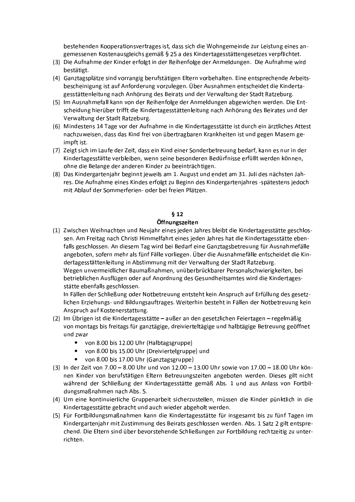bestehenden Kooperationsvertrages ist, dass sich die Wohngemeinde zur Leistung eines angemessenen Kostenausgleichs gemäß § 25 a des Kindertagesstättengesetzes verpflichtet.

- (3) Die Aufnahme der Kinder erfolgt in der Reihenfolge der Anmeldungen. Die Aufnahme wird bestätigt.
- (4) Ganztagsplätze sind vorrangig berufstätigen Eltern vorbehalten. Eine entsprechende Arbeitsbescheinigung ist auf Anforderung vorzulegen. Über Ausnahmen entscheidet die Kindertagesstättenleitung nach Anhörung des Beirats und der Verwaltung der Stadt Ratzeburg.
- (5) Im Ausnahmefall kann von der Reihenfolge der Anmeldungen abgewichen werden. Die Entscheidung hierüber trifft die Kindertagesstättenleitung nach Anhörung des Beirates und der Verwaltung der Stadt Ratzeburg.
- (6) Mindestens 14 Tage vor der Aufnahme in die Kindertagesstätte ist durch ein ärztliches Attest nachzuweisen, dass das Kind frei von übertragbaren Krankheiten ist und gegen Masern geimpft ist.
- (7) Zeigt sich im Laufe der Zeit, dass ein Kind einer Sonderbetreuung bedarf, kann es nur in der Kindertagesstätte verbleiben, wenn seine besonderen Bedürfnisse erfüllt werden können, ohne die Belange der anderen Kinder zu beeinträchtigen.
- (8) Das Kindergartenjahr beginnt jeweils am 1. August und endet am 31. Juli des nächsten Jahres. Die Aufnahme eines Kindes erfolgt zu Beginn des Kindergartenjahres -spätestens jedoch mit Ablauf der Sommerferien- oder bei freien Plätzen.

# $612$

# Öffnungszeiten

(1) Zwischen Weihnachten und Neujahr eines jeden Jahres bleibt die Kindertagesstätte geschlossen. Am Freitag nach Christi Himmelfahrt eines jeden Jahres hat die Kindertagesstätte ebenfalls geschlossen. An diesem Tag wird bei Bedarf eine Ganztagsbetreuung für Ausnahmefälle angeboten, sofern mehr als fünf Fälle vorliegen. Über die Ausnahmefälle entscheidet die Kindertagesstättenleitung in Abstimmung mit der Verwaltung der Stadt Ratzeburg. Wegen unvermeidlicher Baumaßnahmen, unüberbrückbarer Personalschwierigkeiten, bei betrieblichen Ausflügen oder auf Anordnung des Gesundheitsamtes wird die Kindertagesstätte ebenfalls geschlossen.

In Fällen der Schließung oder Notbetreuung entsteht kein Anspruch auf Erfüllung des gesetzlichen Erziehungs- und Bildungsauftrages. Weiterhin besteht in Fällen der Notbetreuung kein Anspruch auf Kostenerstattung.

- (2) Im Übrigen ist die Kindertagesstätte außer an den gesetzlichen Feiertagen regelmäßig von montags bis freitags für ganztägige, dreivierteltägige und halbtägige Betreuung geöffnet und zwar
	- von 8.00 bis 12.00 Uhr (Halbtagsgruppe)
	- von 8.00 bis 15.00 Uhr (Dreiviertelgruppe) und  $\bullet$
	- von 8.00 bis 17.00 Uhr (Ganztagsgruppe)
- (3) In der Zeit von 7.00 8.00 Uhr und von 12.00 13.00 Uhr sowie von 17.00 18.00 Uhr können Kinder von berufstätigen Eltern Betreuungszeiten angeboten werden. Dieses gilt nicht während der Schließung der Kindertagesstätte gemäß Abs. 1 und aus Anlass von Fortbildungsmaßnahmen nach Abs. 5.
- (4) Um eine kontinuierliche Gruppenarbeit sicherzustellen, müssen die Kinder pünktlich in die Kindertagesstätte gebracht und auch wieder abgeholt werden.
- (5) Für Fortbildungsmaßnahmen kann die Kindertagesstätte für insgesamt bis zu fünf Tagen im Kindergartenjahr mit Zustimmung des Beirats geschlossen werden. Abs. 1 Satz 2 gilt entsprechend. Die Eltern sind über bevorstehende Schließungen zur Fortbildung rechtzeitig zu unterrichten.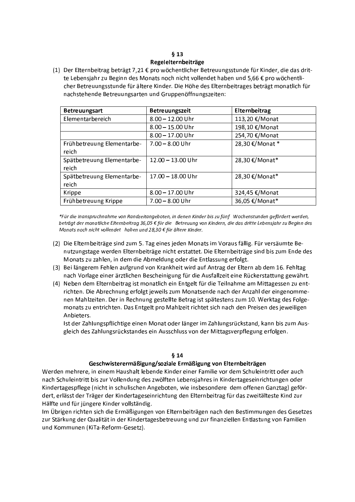#### $613$ Regelelternbeiträge

(1) Der Elternbeitrag beträgt 7,21 € pro wöchentlicher Betreuungsstunde für Kinder, die das dritte Lebensjahr zu Beginn des Monats noch nicht vollendet haben und 5,66 € pro wöchentlicher Betreuungsstunde für ältere Kinder. Die Höhe des Elternbeitrages beträgt monatlich für nachstehende Betreuungsarten und Gruppenöffnungszeiten:

| <b>Betreuungsart</b>                | Betreuungszeit      | Elternbeitrag   |
|-------------------------------------|---------------------|-----------------|
| Elementarbereich                    | $8.00 - 12.00$ Uhr  | 113,20 €/Monat  |
|                                     | $8.00 - 15.00$ Uhr  | 198,10 €/Monat  |
|                                     | $8.00 - 17.00$ Uhr  | 254,70 €/Monat  |
| Frühbetreuung Elementarbe-<br>reich | $7.00 - 8.00$ Uhr   | 28,30 €/Monat * |
| Spätbetreuung Elementarbe-<br>reich | $12.00 - 13.00$ Uhr | 28,30 €/Monat*  |
| Spätbetreuung Elementarbe-<br>reich | $17.00 - 18.00$ Uhr | 28,30 €/Monat*  |
| Krippe                              | $8.00 - 17.00$ Uhr  | 324,45 €/Monat  |
| Frühbetreuung Krippe                | $7.00 - 8.00$ Uhr   | 36,05 €/Monat*  |

\*Für die Inanspruchnahme von Randzeitangeboten, in denen Kinder bis zu fünf Wochenstunden gefördert werden, beträgt der monatliche Elternbeitrag 36,05 € für die Betreuung von Kindern, die das dritte Lebensjahr zu Beginn des Monats noch nicht vollendet haben und 28,30 € für ältere Kinder.

- (2) Die Elternbeiträge sind zum 5. Tag eines jeden Monats im Voraus fällig. Für versäumte Benutzungstage werden Elternbeiträge nicht erstattet. Die Elternbeiträge sind bis zum Ende des Monats zu zahlen, in dem die Abmeldung oder die Entlassung erfolgt.
- (3) Bei längerem Fehlen aufgrund von Krankheit wird auf Antrag der Eltern ab dem 16. Fehltag nach Vorlage einer ärztlichen Bescheinigung für die Ausfallzeit eine Rückerstattung gewährt.
- (4) Neben dem Elternbeitrag ist monatlich ein Entgelt für die Teilnahme am Mittagessen zu entrichten. Die Abrechnung erfolgt jeweils zum Monatsende nach der Anzahl der eingenommenen Mahlzeiten. Der in Rechnung gestellte Betrag ist spätestens zum 10. Werktag des Folgemonats zu entrichten. Das Entgelt pro Mahlzeit richtet sich nach den Preisen des jeweiligen Anbieters.

Ist der Zahlungspflichtige einen Monat oder länger im Zahlungsrückstand, kann bis zum Ausgleich des Zahlungsrückstandes ein Ausschluss von der Mittagsverpflegung erfolgen.

# $§$  14

## Geschwisterermäßigung/soziale Ermäßigung von Elternbeiträgen

Werden mehrere, in einem Haushalt lebende Kinder einer Familie vor dem Schuleintritt oder auch nach Schuleintritt bis zur Vollendung des zwölften Lebensjahres in Kindertageseinrichtungen oder Kindertagespflege (nicht in schulischen Angeboten, wie insbesondere dem offenen Ganztag) gefördert, erlässt der Träger der Kindertageseinrichtung den Elternbeitrag für das zweitälteste Kind zur Hälfte und für jüngere Kinder vollständig.

Im Übrigen richten sich die Ermäßigungen von Elternbeiträgen nach den Bestimmungen des Gesetzes zur Stärkung der Qualität in der Kindertagesbetreuung und zur finanziellen Entlastung von Familien und Kommunen (KiTa-Reform-Gesetz).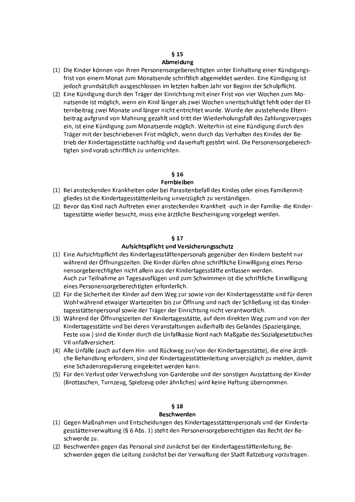# $§$  15

## Abmeldung

- (1) Die Kinder können von ihren Personensorgeberechtigten unter Einhaltung einer Kündigungsfrist von einem Monat zum Monatsende schriftlich abgemeldet werden. Eine Kündigung ist jedoch grundsätzlich ausgeschlossen im letzten halben Jahr vor Beginn der Schulpflicht.
- (2) Eine Kündigung durch den Träger der Einrichtung mit einer Frist von vier Wochen zum Monatsende ist möglich, wenn ein Kind länger als zwei Wochen unentschuldigt fehlt oder der Elternbeitrag zwei Monate und länger nicht entrichtet wurde. Wurde der ausstehende Elternbeitrag aufgrund von Mahnung gezahlt und tritt der Wiederholungsfall des Zahlungsverzuges ein, ist eine Kündigung zum Monatsende möglich. Weiterhin ist eine Kündigung durch den Träger mit der beschriebenen Frist möglich, wenn durch das Verhalten des Kindes der Betrieb der Kindertagesstätte nachhaltig und dauerhaft gestört wird. Die Personensorgeberechtigten sind vorab schriftlich zu unterrichten.

# $\delta$  16

# Fernbleiben

- (1) Bei ansteckenden Krankheiten oder bei Parasitenbefall des Kindes oder eines Familienmitgliedes ist die Kindertagesstättenleitung unverzüglich zu verständigen.
- (2) Bevor das Kind nach Auftreten einer ansteckenden Krankheit -auch in der Familie- die Kindertagesstätte wieder besucht, muss eine ärztliche Bescheinigung vorgelegt werden.

# $§ 17$

# Aufsichtspflicht und Versicherungsschutz

- (1) Eine Aufsichtspflicht des Kindertagesstättenpersonals gegenüber den Kindern besteht nur während der Öffnungszeiten. Die Kinder dürfen ohne schriftliche Einwilligung eines Personensorgeberechtigten nicht allein aus der Kindertagesstätte entlassen werden. Auch zur Teilnahme an Tagesausflügen und zum Schwimmen ist die schriftliche Einwilligung eines Personensorgeberechtigten erforderlich.
- (2) Für die Sicherheit der Kinder auf dem Weg zur sowie von der Kindertagesstätte und für deren Wohl während etwaiger Wartezeiten bis zur Öffnung und nach der Schließung ist das Kindertagesstättenpersonal sowie der Träger der Einrichtung nicht verantwortlich.
- (3) Während der Öffnungszeiten der Kindertagesstätte, auf dem direkten Weg zum und von der Kindertagesstätte und bei deren Veranstaltungen außerhalb des Geländes (Spaziergänge, Feste usw.) sind die Kinder durch die Unfallkasse Nord nach Maßgabe des Sozialgesetzbuches VII unfallversichert.
- (4) Alle Unfälle (auch auf dem Hin- und Rückweg zur/von der Kindertagesstätte), die eine ärztliche Behandlung erfordern, sind der Kindertagesstättenleitung unverzüglich zu melden, damit eine Schadensregulierung eingeleitet werden kann.
- (5) Für den Verlust oder Verwechslung von Garderobe und der sonstigen Ausstattung der Kinder (Brottaschen, Turnzeug, Spielzeug oder ähnliches) wird keine Haftung übernommen.

# $§$  18

# **Beschwerden**

- (1) Gegen Maßnahmen und Entscheidungen des Kindertagesstättenpersonals und der Kindertagesstättenverwaltung (§ 6 Abs. 1) steht den Personensorgeberechtigten das Recht der Beschwerde zu.
- (2) Beschwerden gegen das Personal sind zunächst bei der Kindertagesstättenleitung, Beschwerden gegen die Leitung zunächst bei der Verwaltung der Stadt Ratzeburg vorzutragen.